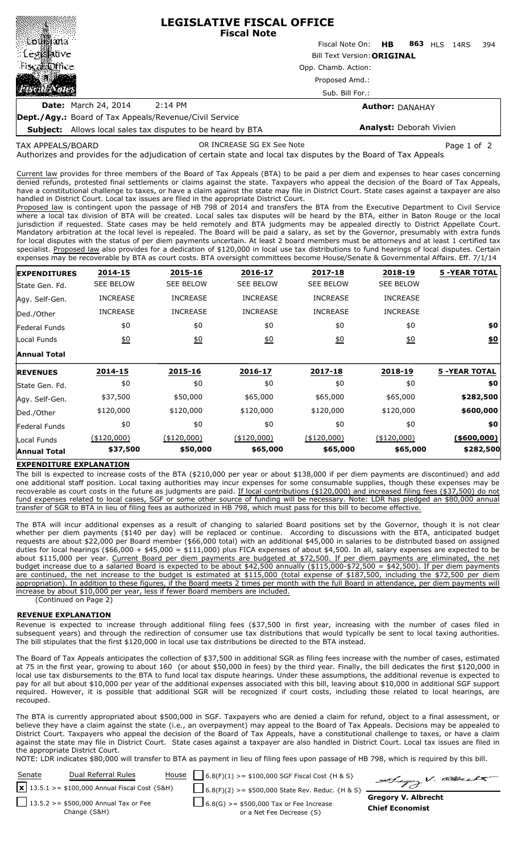|                                                                                                                                                                         | <b>LEGISLATIVE FISCAL OFFICE</b><br><b>Fiscal Note</b>   |                                 |  |  |  |     |  |  |  |
|-------------------------------------------------------------------------------------------------------------------------------------------------------------------------|----------------------------------------------------------|---------------------------------|--|--|--|-----|--|--|--|
|                                                                                                                                                                         |                                                          | Fiscal Note On: HB 863 HLS 14RS |  |  |  | 394 |  |  |  |
| $\mathbf{L}$<br><b>MRUYE</b>                                                                                                                                            | <b>Bill Text Version: ORIGINAL</b>                       |                                 |  |  |  |     |  |  |  |
| ⊟sca∭office                                                                                                                                                             | Opp. Chamb. Action:<br>Proposed Amd.:<br>Sub. Bill For.: |                                 |  |  |  |     |  |  |  |
|                                                                                                                                                                         |                                                          |                                 |  |  |  |     |  |  |  |
|                                                                                                                                                                         |                                                          |                                 |  |  |  |     |  |  |  |
| <b>Date:</b> March 24, 2014                                                                                                                                             | 2:14 PM                                                  | <b>Author: DANAHAY</b>          |  |  |  |     |  |  |  |
| $\mathbf{R}_{\text{out}}$ /A $\ldots$ $\mathbf{R}_{\text{out}}$ /A $\mathbf{r}_{\text{out}}$ /A $\ldots$ /A $\mathbf{r}_{\text{out}}$ /A $\ldots$ /Objects / A $\ldots$ |                                                          |                                 |  |  |  |     |  |  |  |

**Dept./Agy.:** Board of Tax Appeals/Revenue/Civil Service

**Subject:** Allows local sales tax disputes to be heard by BTA

OR INCREASE SG EX See Note **Page 1 of 2** and 2

**Analyst:** Deborah Vivien

Authorizes and provides for the adjudication of certain state and local tax disputes by the Board of Tax Appeals TAX APPEALS/BOARD

Current law provides for three members of the Board of Tax Appeals (BTA) to be paid a per diem and expenses to hear cases concerning denied refunds, protested final settlements or claims against the state. Taxpayers who appeal the decision of the Board of Tax Appeals, have a constitutional challenge to taxes, or have a claim against the state may file in District Court. State cases against a taxpayer are also handled in District Court. Local tax issues are filed in the appropriate District Court.

Proposed law is contingent upon the passage of HB 798 of 2014 and transfers the BTA from the Executive Department to Civil Service where a local tax division of BTA will be created. Local sales tax disputes will be heard by the BTA, either in Baton Rouge or the local jurisdiction if requested. State cases may be held remotely and BTA judgments may be appealed directly to District Appellate Court. Mandatory arbitration at the local level is repealed. The Board will be paid a salary, as set by the Governor, presumably with extra funds for local disputes with the status of per diem payments uncertain. At least 2 board members must be attorneys and at least 1 certified tax specialist. Proposed law also provides for a dedication of \$120,000 in local use tax distributions to fund hearings of local disputes. Certain expenses may be recoverable by BTA as court costs. BTA oversight committees become House/Senate & Governmental Affairs. Eff. 7/1/14

| <b>EXPENDITURES</b> | 2014-15          | 2015-16          | 2016-17          | 2017-18          | 2018-19          | <b>5 -YEAR TOTAL</b> |
|---------------------|------------------|------------------|------------------|------------------|------------------|----------------------|
| State Gen. Fd.      | <b>SEE BELOW</b> | <b>SEE BELOW</b> | <b>SEE BELOW</b> | <b>SEE BELOW</b> | <b>SEE BELOW</b> |                      |
| Agy. Self-Gen.      | <b>INCREASE</b>  | <b>INCREASE</b>  | <b>INCREASE</b>  | <b>INCREASE</b>  | <b>INCREASE</b>  |                      |
| Ded./Other          | <b>INCREASE</b>  | <b>INCREASE</b>  | <b>INCREASE</b>  | <b>INCREASE</b>  | <b>INCREASE</b>  |                      |
| Federal Funds       | \$0              | \$0              | \$0              | \$0              | \$0              | \$0                  |
| Local Funds         | <u>\$0</u>       | 60               | 60               | 60               | $\underline{50}$ | \$0                  |
| <b>Annual Total</b> |                  |                  |                  |                  |                  |                      |
| <b>REVENUES</b>     | 2014-15          | 2015-16          | 2016-17          | 2017-18          | 2018-19          | <b>5 -YEAR TOTAL</b> |
| lState Gen. Fd.     | \$0              | \$0              | \$0              | \$0              | \$0              | \$0                  |
| Agy. Self-Gen.      | \$37,500         | \$50,000         | \$65,000         | \$65,000         | \$65,000         | \$282,500            |
| Ded./Other          | \$120,000        | \$120,000        | \$120,000        | \$120,000        | \$120,000        | \$600,000            |
| Federal Funds       | \$0              | \$0              | \$0              | \$0              | \$0              | \$0                  |
| Local Funds         | (\$120,000)      | $(*120,000)$     | $(*120,000)$     | $(*120,000)$     | (\$120,000)      | ( \$600,000]         |
| <b>Annual Total</b> | \$37,500         | \$50,000         | \$65,000         | \$65,000         | \$65,000         | \$282,500            |

## **EXPENDITURE EXPLANATION**

The bill is expected to increase costs of the BTA (\$210,000 per year or about \$138,000 if per diem payments are discontinued) and add one additional staff position. Local taxing authorities may incur expenses for some consumable supplies, though these expenses may be recoverable as court costs in the future as judgments are paid. If local contributions (\$120,000) and increased filing fees (\$37,500) do not fund expenses related to local cases, SGF or some other source of funding will be necessary. Note: LDR has pledged an \$80,000 annual transfer of SGR to BTA in lieu of filing fees as authorized in HB 798, which must pass for this bill to become effective.

The BTA will incur additional expenses as a result of changing to salaried Board positions set by the Governor, though it is not clear whether per diem payments (\$140 per day) will be replaced or continue. According to discussions with the BTA, anticipated budget requests are about \$22,000 per Board member (\$66,000 total) with an additional \$45,000 in salaries to be distributed based on assigned duties for local hearings (\$66,000 + \$45,000 = \$111,000) plus FICA expenses of about \$4,500. In all, salary expenses are expected to be about \$115,000 per year. Current Board per diem payments are budgeted at \$72,500. If per diem payments are eliminated, the net budget increase due to a salaried Board is expected to be about \$42,500 annually (\$115,000-\$72,500 = \$42,500). If per diem payments are continued, the net increase to the budget is estimated at \$115,000 (total expense of \$187,500, including the \$72,500 per diem appropriation). In addition to these figures, if the Board meets 2 times per month with the full Board in attendance, per diem payments will increase by about \$10,000 per year, less if fewer Board members are included.

(Continued on Page 2)

## **REVENUE EXPLANATION**

Revenue is expected to increase through additional filing fees (\$37,500 in first year, increasing with the number of cases filed in subsequent years) and through the redirection of consumer use tax distributions that would typically be sent to local taxing authorities. The bill stipulates that the first \$120,000 in local use tax distributions be directed to the BTA instead.

The Board of Tax Appeals anticipates the collection of \$37,500 in additional SGR as filing fees increase with the number of cases, estimated at 75 in the first year, growing to about 160 (or about \$50,000 in fees) by the third year. Finally, the bill dedicates the first \$120,000 in local use tax disbursements to the BTA to fund local tax dispute hearings. Under these assumptions, the additional revenue is expected to pay for all but about \$10,000 per year of the additional expenses associated with this bill, leaving about \$10,000 in additional SGF support required. However, it is possible that additional SGR will be recognized if court costs, including those related to local hearings, are recouped.

The BTA is currently appropriated about \$500,000 in SGF. Taxpayers who are denied a claim for refund, object to a final assessment, or believe they have a claim against the state (i.e., an overpayment) may appeal to the Board of Tax Appeals. Decisions may be appealed to District Court. Taxpayers who appeal the decision of the Board of Tax Appeals, have a constitutional challenge to taxes, or have a claim against the state may file in District Court. State cases against a taxpayer are also handled in District Court. Local tax issues are filed in the appropriate District Court.

NOTE: LDR indicates \$80,000 will transfer to BTA as payment in lieu of filing fees upon passage of HB 798, which is required by this bill.